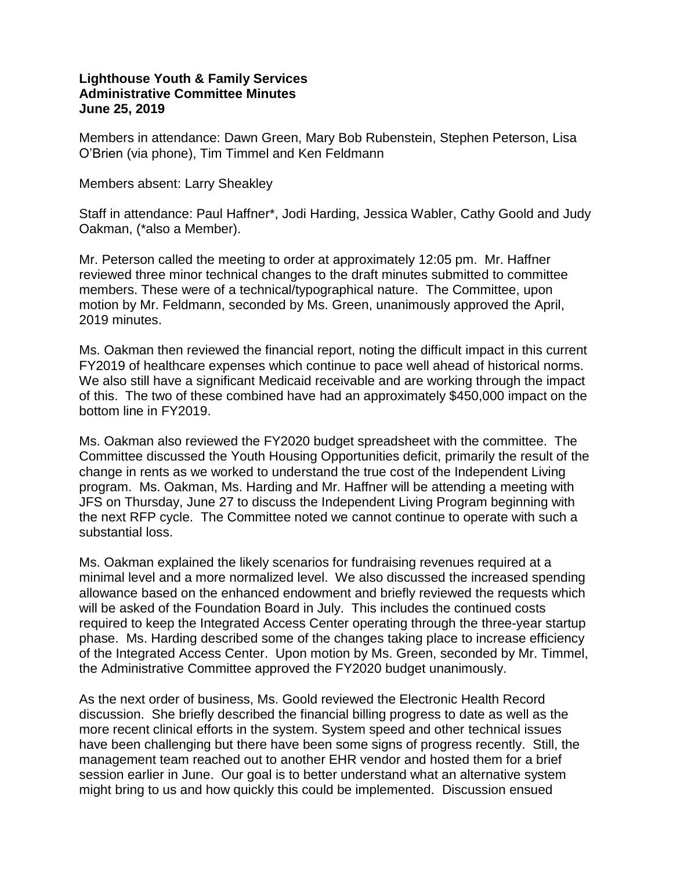## **Lighthouse Youth & Family Services Administrative Committee Minutes June 25, 2019**

Members in attendance: Dawn Green, Mary Bob Rubenstein, Stephen Peterson, Lisa O'Brien (via phone), Tim Timmel and Ken Feldmann

## Members absent: Larry Sheakley

Staff in attendance: Paul Haffner\*, Jodi Harding, Jessica Wabler, Cathy Goold and Judy Oakman, (\*also a Member).

Mr. Peterson called the meeting to order at approximately 12:05 pm. Mr. Haffner reviewed three minor technical changes to the draft minutes submitted to committee members. These were of a technical/typographical nature. The Committee, upon motion by Mr. Feldmann, seconded by Ms. Green, unanimously approved the April, 2019 minutes.

Ms. Oakman then reviewed the financial report, noting the difficult impact in this current FY2019 of healthcare expenses which continue to pace well ahead of historical norms. We also still have a significant Medicaid receivable and are working through the impact of this. The two of these combined have had an approximately \$450,000 impact on the bottom line in FY2019.

Ms. Oakman also reviewed the FY2020 budget spreadsheet with the committee. The Committee discussed the Youth Housing Opportunities deficit, primarily the result of the change in rents as we worked to understand the true cost of the Independent Living program. Ms. Oakman, Ms. Harding and Mr. Haffner will be attending a meeting with JFS on Thursday, June 27 to discuss the Independent Living Program beginning with the next RFP cycle. The Committee noted we cannot continue to operate with such a substantial loss.

Ms. Oakman explained the likely scenarios for fundraising revenues required at a minimal level and a more normalized level. We also discussed the increased spending allowance based on the enhanced endowment and briefly reviewed the requests which will be asked of the Foundation Board in July. This includes the continued costs required to keep the Integrated Access Center operating through the three-year startup phase. Ms. Harding described some of the changes taking place to increase efficiency of the Integrated Access Center. Upon motion by Ms. Green, seconded by Mr. Timmel, the Administrative Committee approved the FY2020 budget unanimously.

As the next order of business, Ms. Goold reviewed the Electronic Health Record discussion. She briefly described the financial billing progress to date as well as the more recent clinical efforts in the system. System speed and other technical issues have been challenging but there have been some signs of progress recently. Still, the management team reached out to another EHR vendor and hosted them for a brief session earlier in June. Our goal is to better understand what an alternative system might bring to us and how quickly this could be implemented. Discussion ensued